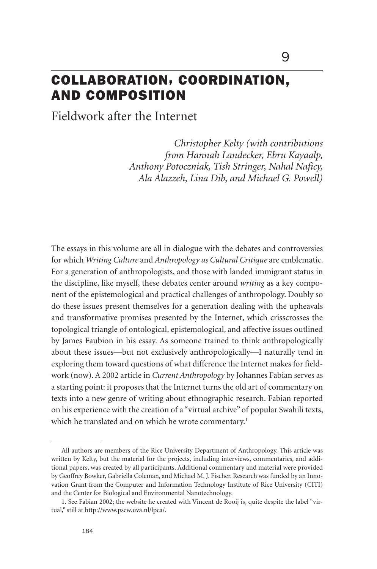# COLLABORATION, COORDINATION, AND COMPOSITION

Fieldwork after the Internet

*Christopher Kelty (with contributions from Hannah Landecker, Ebru Kayaalp, Anthony Potoczniak, Tish Stringer, Nahal Naficy, Ala Alazzeh, Lina Dib, and Michael G. Powell)*

9

The essays in this volume are all in dialogue with the debates and controversies for which *Writing Culture* and *Anthropology as Cultural Critique* are emblematic. For a generation of anthropologists, and those with landed immigrant status in the discipline, like myself, these debates center around *writing* as a key component of the epistemological and practical challenges of anthropology. Doubly so do these issues present themselves for a generation dealing with the upheavals and transformative promises presented by the Internet, which crisscrosses the topological triangle of ontological, epistemological, and affective issues outlined by James Faubion in his essay. As someone trained to think anthropologically about these issues—but not exclusively anthropologically—I naturally tend in exploring them toward questions of what difference the Internet makes for fieldwork (now). A 2002 article in *Current Anthropology* by Johannes Fabian serves as a starting point: it proposes that the Internet turns the old art of commentary on texts into a new genre of writing about ethnographic research. Fabian reported on his experience with the creation of a "virtual archive" of popular Swahili texts, which he translated and on which he wrote commentary.<sup>1</sup>

All authors are members of the Rice University Department of Anthropology. This article was written by Kelty, but the material for the projects, including interviews, commentaries, and additional papers, was created by all participants. Additional commentary and material were provided by Geoffrey Bowker, Gabriella Coleman, and Michael M. J. Fischer. Research was funded by an Innovation Grant from the Computer and Information Technology Institute of Rice University (CITI) and the Center for Biological and Environmental Nanotechnology.

<sup>1.</sup> See Fabian 2002; the website he created with Vincent de Rooij is, quite despite the label "virtual," still at http://www.pscw.uva.nl/lpca/.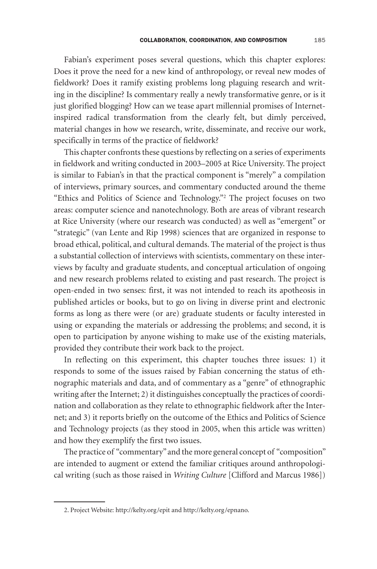Fabian's experiment poses several questions, which this chapter explores: Does it prove the need for a new kind of anthropology, or reveal new modes of fieldwork? Does it ramify existing problems long plaguing research and writing in the discipline? Is commentary really a newly transformative genre, or is it just glorified blogging? How can we tease apart millennial promises of Internetinspired radical transformation from the clearly felt, but dimly perceived, material changes in how we research, write, disseminate, and receive our work, specifically in terms of the practice of fieldwork?

This chapter confronts these questions by reflecting on a series of experiments in fieldwork and writing conducted in 2003–2005 at Rice University. The project is similar to Fabian's in that the practical component is "merely" a compilation of interviews, primary sources, and commentary conducted around the theme "Ethics and Politics of Science and Technology."2 The project focuses on two areas: computer science and nanotechnology. Both are areas of vibrant research at Rice University (where our research was conducted) as well as "emergent" or "strategic" (van Lente and Rip 1998) sciences that are organized in response to broad ethical, political, and cultural demands. The material of the project is thus a substantial collection of interviews with scientists, commentary on these interviews by faculty and graduate students, and conceptual articulation of ongoing and new research problems related to existing and past research. The project is open-ended in two senses: first, it was not intended to reach its apotheosis in published articles or books, but to go on living in diverse print and electronic forms as long as there were (or are) graduate students or faculty interested in using or expanding the materials or addressing the problems; and second, it is open to participation by anyone wishing to make use of the existing materials, provided they contribute their work back to the project.

In reflecting on this experiment, this chapter touches three issues: 1) it responds to some of the issues raised by Fabian concerning the status of ethnographic materials and data, and of commentary as a "genre" of ethnographic writing after the Internet; 2) it distinguishes conceptually the practices of coordination and collaboration as they relate to ethnographic fieldwork after the Internet; and 3) it reports briefly on the outcome of the Ethics and Politics of Science and Technology projects (as they stood in 2005, when this article was written) and how they exemplify the first two issues.

The practice of "commentary" and the more general concept of "composition" are intended to augment or extend the familiar critiques around anthropological writing (such as those raised in *Writing Culture* [Clifford and Marcus 1986])

<sup>2.</sup> Project Website: http://kelty.org /epit and http://kelty.org /epnano.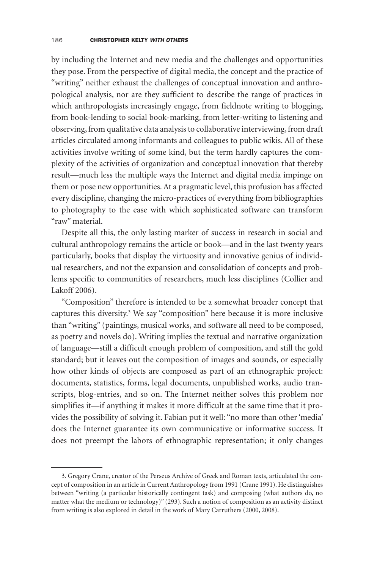by including the Internet and new media and the challenges and opportunities they pose. From the perspective of digital media, the concept and the practice of "writing" neither exhaust the challenges of conceptual innovation and anthropological analysis, nor are they sufficient to describe the range of practices in which anthropologists increasingly engage, from fieldnote writing to blogging, from book-lending to social book-marking, from letter-writing to listening and observing, from qualitative data analysis to collaborative interviewing, from draft articles circulated among informants and colleagues to public wikis. All of these activities involve writing of some kind, but the term hardly captures the complexity of the activities of organization and conceptual innovation that thereby result—much less the multiple ways the Internet and digital media impinge on them or pose new opportunities. At a pragmatic level, this profusion has affected every discipline, changing the micro-practices of everything from bibliographies to photography to the ease with which sophisticated software can transform "raw" material.

Despite all this, the only lasting marker of success in research in social and cultural anthropology remains the article or book—and in the last twenty years particularly, books that display the virtuosity and innovative genius of individual researchers, and not the expansion and consolidation of concepts and problems specific to communities of researchers, much less disciplines (Collier and Lakoff 2006).

"Composition" therefore is intended to be a somewhat broader concept that captures this diversity.<sup>3</sup> We say "composition" here because it is more inclusive than "writing" (paintings, musical works, and software all need to be composed, as poetry and novels do). Writing implies the textual and narrative organization of language—still a difficult enough problem of composition, and still the gold standard; but it leaves out the composition of images and sounds, or especially how other kinds of objects are composed as part of an ethnographic project: documents, statistics, forms, legal documents, unpublished works, audio transcripts, blog-entries, and so on. The Internet neither solves this problem nor simplifies it—if anything it makes it more difficult at the same time that it provides the possibility of solving it. Fabian put it well: "no more than other 'media' does the Internet guarantee its own communicative or informative success. It does not preempt the labors of ethnographic representation; it only changes

<sup>3.</sup> Gregory Crane, creator of the Perseus Archive of Greek and Roman texts, articulated the concept of composition in an article in Current Anthropology from 1991 (Crane 1991). He distinguishes between "writing (a particular historically contingent task) and composing (what authors do, no matter what the medium or technology)" (293). Such a notion of composition as an activity distinct from writing is also explored in detail in the work of Mary Carruthers (2000, 2008).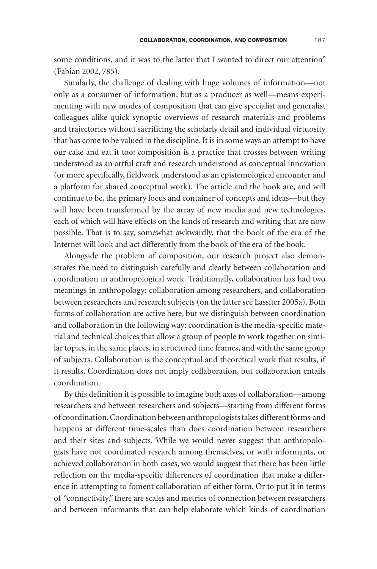some conditions, and it was to the latter that I wanted to direct our attention" (Fabian 2002, 785).

Similarly, the challenge of dealing with huge volumes of information—not only as a consumer of information, but as a producer as well—means experimenting with new modes of composition that can give specialist and generalist colleagues alike quick synoptic overviews of research materials and problems and trajectories without sacrificing the scholarly detail and individual virtuosity that has come to be valued in the discipline. It is in some ways an attempt to have our cake and eat it too: composition is a practice that crosses between writing understood as an artful craft and research understood as conceptual innovation (or more specifically, fieldwork understood as an epistemological encounter and a platform for shared conceptual work). The article and the book are, and will continue to be, the primary locus and container of concepts and ideas—but they will have been transformed by the array of new media and new technologies, each of which will have effects on the kinds of research and writing that are now possible. That is to say, somewhat awkwardly, that the book of the era of the Internet will look and act differently from the book of the era of the book.

Alongside the problem of composition, our research project also demonstrates the need to distinguish carefully and clearly between collaboration and coordination in anthropological work. Traditionally, collaboration has had two meanings in anthropology: collaboration among researchers, and collaboration between researchers and research subjects (on the latter see Lassiter 2005a). Both forms of collaboration are active here, but we distinguish between coordination and collaboration in the following way: coordination is the media-specific material and technical choices that allow a group of people to work together on similar topics, in the same places, in structured time frames, and with the same group of subjects. Collaboration is the conceptual and theoretical work that results, if it results. Coordination does not imply collaboration, but collaboration entails coordination.

By this definition it is possible to imagine both axes of collaboration—among researchers and between researchers and subjects—starting from different forms of coordination. Coordination between anthropologists takes different forms and happens at different time-scales than does coordination between researchers and their sites and subjects. While we would never suggest that anthropologists have not coordinated research among themselves, or with informants, or achieved collaboration in both cases, we would suggest that there has been little reflection on the media-specific differences of coordination that make a difference in attempting to foment collaboration of either form. Or to put it in terms of "connectivity," there are scales and metrics of connection between researchers and between informants that can help elaborate which kinds of coordination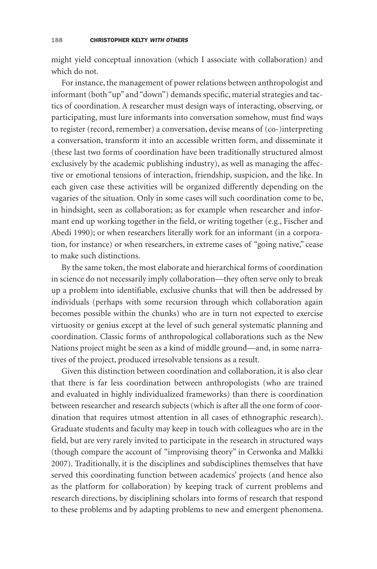might yield conceptual innovation (which I associate with collaboration) and which do not.

For instance, the management of power relations between anthropologist and informant (both "up" and "down") demands specific, material strategies and tactics of coordination. A researcher must design ways of interacting, observing, or participating, must lure informants into conversation somehow, must find ways to register (record, remember) a conversation, devise means of (co-)interpreting a conversation, transform it into an accessible written form, and disseminate it (these last two forms of coordination have been traditionally structured almost exclusively by the academic publishing industry), as well as managing the affective or emotional tensions of interaction, friendship, suspicion, and the like. In each given case these activities will be organized differently depending on the vagaries of the situation. Only in some cases will such coordination come to be, in hindsight, seen as collaboration; as for example when researcher and informant end up working together in the field, or writing together (e.g., Fischer and Abedi 1990); or when researchers literally work for an informant (in a corporation, for instance) or when researchers, in extreme cases of "going native," cease to make such distinctions.

By the same token, the most elaborate and hierarchical forms of coordination in science do not necessarily imply collaboration—they often serve only to break up a problem into identifiable, exclusive chunks that will then be addressed by individuals (perhaps with some recursion through which collaboration again becomes possible within the chunks) who are in turn not expected to exercise virtuosity or genius except at the level of such general systematic planning and coordination. Classic forms of anthropological collaborations such as the New Nations project might be seen as a kind of middle ground—and, in some narratives of the project, produced irresolvable tensions as a result.

Given this distinction between coordination and collaboration, it is also clear that there is far less coordination between anthropologists (who are trained and evaluated in highly individualized frameworks) than there is coordination between researcher and research subjects (which is after all the one form of coordination that requires utmost attention in all cases of ethnographic research). Graduate students and faculty may keep in touch with colleagues who are in the field, but are very rarely invited to participate in the research in structured ways (though compare the account of "improvising theory" in Cerwonka and Malkki 2007). Traditionally, it is the disciplines and subdisciplines themselves that have served this coordinating function between academics' projects (and hence also as the platform for collaboration) by keeping track of current problems and research directions, by disciplining scholars into forms of research that respond to these problems and by adapting problems to new and emergent phenomena.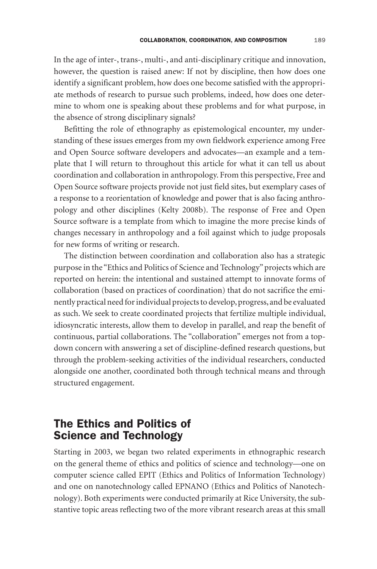In the age of inter-, trans-, multi-, and anti-disciplinary critique and innovation, however, the question is raised anew: If not by discipline, then how does one identify a significant problem, how does one become satisfied with the appropriate methods of research to pursue such problems, indeed, how does one determine to whom one is speaking about these problems and for what purpose, in the absence of strong disciplinary signals?

Befitting the role of ethnography as epistemological encounter, my understanding of these issues emerges from my own fieldwork experience among Free and Open Source software developers and advocates—an example and a template that I will return to throughout this article for what it can tell us about coordination and collaboration in anthropology. From this perspective, Free and Open Source software projects provide not just field sites, but exemplary cases of a response to a reorientation of knowledge and power that is also facing anthropology and other disciplines (Kelty 2008b). The response of Free and Open Source software is a template from which to imagine the more precise kinds of changes necessary in anthropology and a foil against which to judge proposals for new forms of writing or research.

The distinction between coordination and collaboration also has a strategic purpose in the "Ethics and Politics of Science and Technology" projects which are reported on herein: the intentional and sustained attempt to innovate forms of collaboration (based on practices of coordination) that do not sacrifice the eminently practical need for individual projects to develop, progress, and be evaluated as such. We seek to create coordinated projects that fertilize multiple individual, idiosyncratic interests, allow them to develop in parallel, and reap the benefit of continuous, partial collaborations. The "collaboration" emerges not from a topdown concern with answering a set of discipline-defined research questions, but through the problem-seeking activities of the individual researchers, conducted alongside one another, coordinated both through technical means and through structured engagement.

# The Ethics and Politics of Science and Technology

Starting in 2003, we began two related experiments in ethnographic research on the general theme of ethics and politics of science and technology—one on computer science called EPIT (Ethics and Politics of Information Technology) and one on nanotechnology called EPNANO (Ethics and Politics of Nanotechnology). Both experiments were conducted primarily at Rice University, the substantive topic areas reflecting two of the more vibrant research areas at this small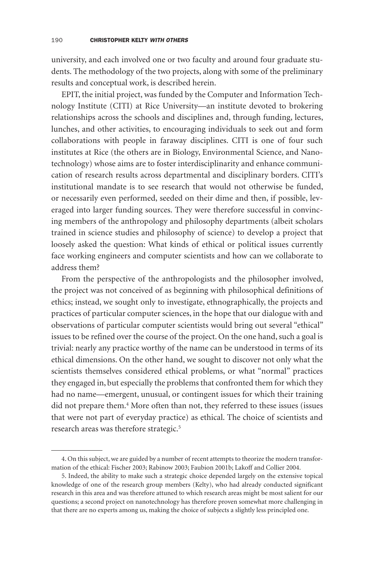university, and each involved one or two faculty and around four graduate students. The methodology of the two projects, along with some of the preliminary results and conceptual work, is described herein.

EPIT, the initial project, was funded by the Computer and Information Technology Institute (CITI) at Rice University—an institute devoted to brokering relationships across the schools and disciplines and, through funding, lectures, lunches, and other activities, to encouraging individuals to seek out and form collaborations with people in faraway disciplines. CITI is one of four such institutes at Rice (the others are in Biology, Environmental Science, and Nanotechnology) whose aims are to foster interdisciplinarity and enhance communication of research results across departmental and disciplinary borders. CITI's institutional mandate is to see research that would not otherwise be funded, or necessarily even performed, seeded on their dime and then, if possible, leveraged into larger funding sources. They were therefore successful in convincing members of the anthropology and philosophy departments (albeit scholars trained in science studies and philosophy of science) to develop a project that loosely asked the question: What kinds of ethical or political issues currently face working engineers and computer scientists and how can we collaborate to address them?

From the perspective of the anthropologists and the philosopher involved, the project was not conceived of as beginning with philosophical definitions of ethics; instead, we sought only to investigate, ethnographically, the projects and practices of particular computer sciences, in the hope that our dialogue with and observations of particular computer scientists would bring out several "ethical" issues to be refined over the course of the project. On the one hand, such a goal is trivial: nearly any practice worthy of the name can be understood in terms of its ethical dimensions. On the other hand, we sought to discover not only what the scientists themselves considered ethical problems, or what "normal" practices they engaged in, but especially the problems that confronted them for which they had no name—emergent, unusual, or contingent issues for which their training did not prepare them.<sup>4</sup> More often than not, they referred to these issues (issues that were not part of everyday practice) as ethical. The choice of scientists and research areas was therefore strategic.<sup>5</sup>

<sup>4.</sup> On this subject, we are guided by a number of recent attempts to theorize the modern transformation of the ethical: Fischer 2003; Rabinow 2003; Faubion 2001b; Lakoff and Collier 2004.

<sup>5.</sup> Indeed, the ability to make such a strategic choice depended largely on the extensive topical knowledge of one of the research group members (Kelty), who had already conducted significant research in this area and was therefore attuned to which research areas might be most salient for our questions; a second project on nanotechnology has therefore proven somewhat more challenging in that there are no experts among us, making the choice of subjects a slightly less principled one.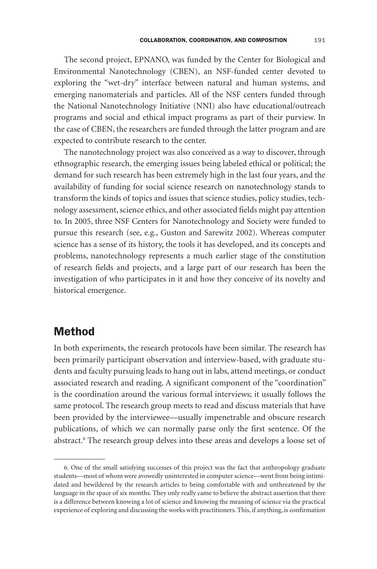The second project, EPNANO, was funded by the Center for Biological and Environmental Nanotechnology (CBEN), an NSF-funded center devoted to exploring the "wet-dry" interface between natural and human systems, and emerging nanomaterials and particles. All of the NSF centers funded through the National Nanotechnology Initiative (NNI) also have educational/outreach programs and social and ethical impact programs as part of their purview. In the case of CBEN, the researchers are funded through the latter program and are expected to contribute research to the center.

The nanotechnology project was also conceived as a way to discover, through ethnographic research, the emerging issues being labeled ethical or political; the demand for such research has been extremely high in the last four years, and the availability of funding for social science research on nanotechnology stands to transform the kinds of topics and issues that science studies, policy studies, technology assessment, science ethics, and other associated fields might pay attention to. In 2005, three NSF Centers for Nanotechnology and Society were funded to pursue this research (see, e.g., Guston and Sarewitz 2002). Whereas computer science has a sense of its history, the tools it has developed, and its concepts and problems, nanotechnology represents a much earlier stage of the constitution of research fields and projects, and a large part of our research has been the investigation of who participates in it and how they conceive of its novelty and historical emergence.

# Method

In both experiments, the research protocols have been similar. The research has been primarily participant observation and interview-based, with graduate students and faculty pursuing leads to hang out in labs, attend meetings, or conduct associated research and reading. A significant component of the "coordination" is the coordination around the various formal interviews; it usually follows the same protocol. The research group meets to read and discuss materials that have been provided by the interviewee—usually impenetrable and obscure research publications, of which we can normally parse only the first sentence. Of the abstract.<sup>6</sup> The research group delves into these areas and develops a loose set of

<sup>6.</sup> One of the small satisfying successes of this project was the fact that anthropology graduate students—most of whom were avowedly uninterested in computer science—went from being intimidated and bewildered by the research articles to being comfortable with and unthreatened by the language in the space of six months. They only really came to believe the abstract assertion that there is a difference between knowing a lot of science and knowing the meaning of science via the practical experience of exploring and discussing the works with practitioners. This, if anything, is confirmation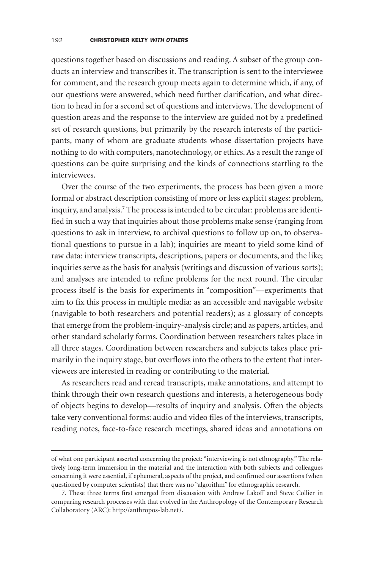questions together based on discussions and reading. A subset of the group conducts an interview and transcribes it. The transcription is sent to the interviewee for comment, and the research group meets again to determine which, if any, of our questions were answered, which need further clarification, and what direction to head in for a second set of questions and interviews. The development of question areas and the response to the interview are guided not by a predefined set of research questions, but primarily by the research interests of the participants, many of whom are graduate students whose dissertation projects have nothing to do with computers, nanotechnology, or ethics. As a result the range of questions can be quite surprising and the kinds of connections startling to the interviewees.

Over the course of the two experiments, the process has been given a more formal or abstract description consisting of more or less explicit stages: problem, inquiry, and analysis.7 The process is intended to be circular: problems are identified in such a way that inquiries about those problems make sense (ranging from questions to ask in interview, to archival questions to follow up on, to observational questions to pursue in a lab); inquiries are meant to yield some kind of raw data: interview transcripts, descriptions, papers or documents, and the like; inquiries serve as the basis for analysis (writings and discussion of various sorts); and analyses are intended to refine problems for the next round. The circular process itself is the basis for experiments in "composition"—experiments that aim to fix this process in multiple media: as an accessible and navigable website (navigable to both researchers and potential readers); as a glossary of concepts that emerge from the problem-inquiry-analysis circle; and as papers, articles, and other standard scholarly forms. Coordination between researchers takes place in all three stages. Coordination between researchers and subjects takes place primarily in the inquiry stage, but overflows into the others to the extent that interviewees are interested in reading or contributing to the material.

As researchers read and reread transcripts, make annotations, and attempt to think through their own research questions and interests, a heterogeneous body of objects begins to develop—results of inquiry and analysis. Often the objects take very conventional forms: audio and video files of the interviews, transcripts, reading notes, face-to-face research meetings, shared ideas and annotations on

of what one participant asserted concerning the project: "interviewing is not ethnography." The relatively long-term immersion in the material and the interaction with both subjects and colleagues concerning it were essential, if ephemeral, aspects of the project, and confirmed our assertions (when questioned by computer scientists) that there was no "algorithm" for ethnographic research.

<sup>7.</sup> These three terms first emerged from discussion with Andrew Lakoff and Steve Collier in comparing research processes with that evolved in the Anthropology of the Contemporary Research Collaboratory (ARC): http://anthropos-lab.net /.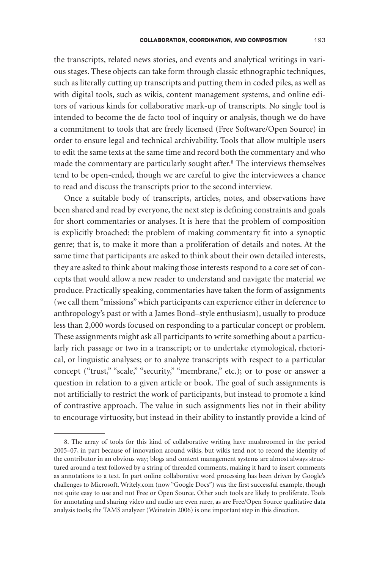the transcripts, related news stories, and events and analytical writings in various stages. These objects can take form through classic ethnographic techniques, such as literally cutting up transcripts and putting them in coded piles, as well as with digital tools, such as wikis, content management systems, and online editors of various kinds for collaborative mark-up of transcripts. No single tool is intended to become the de facto tool of inquiry or analysis, though we do have a commitment to tools that are freely licensed (Free Software/Open Source) in order to ensure legal and technical archivability. Tools that allow multiple users to edit the same texts at the same time and record both the commentary and who made the commentary are particularly sought after.<sup>8</sup> The interviews themselves tend to be open-ended, though we are careful to give the interviewees a chance to read and discuss the transcripts prior to the second interview.

Once a suitable body of transcripts, articles, notes, and observations have been shared and read by everyone, the next step is defining constraints and goals for short commentaries or analyses. It is here that the problem of composition is explicitly broached: the problem of making commentary fit into a synoptic genre; that is, to make it more than a proliferation of details and notes. At the same time that participants are asked to think about their own detailed interests, they are asked to think about making those interests respond to a core set of concepts that would allow a new reader to understand and navigate the material we produce. Practically speaking, commentaries have taken the form of assignments (we call them "missions" which participants can experience either in deference to anthropology's past or with a James Bond–style enthusiasm), usually to produce less than 2,000 words focused on responding to a particular concept or problem. These assignments might ask all participants to write something about a particularly rich passage or two in a transcript; or to undertake etymological, rhetorical, or linguistic analyses; or to analyze transcripts with respect to a particular concept ("trust," "scale," "security," "membrane," etc.); or to pose or answer a question in relation to a given article or book. The goal of such assignments is not artificially to restrict the work of participants, but instead to promote a kind of contrastive approach. The value in such assignments lies not in their ability to encourage virtuosity, but instead in their ability to instantly provide a kind of

<sup>8.</sup> The array of tools for this kind of collaborative writing have mushroomed in the period 2005–07, in part because of innovation around wikis, but wikis tend not to record the identity of the contributor in an obvious way; blogs and content management systems are almost always structured around a text followed by a string of threaded comments, making it hard to insert comments as annotations to a text. In part online collaborative word processing has been driven by Google's challenges to Microsoft. Writely.com (now "Google Docs") was the first successful example, though not quite easy to use and not Free or Open Source. Other such tools are likely to proliferate. Tools for annotating and sharing video and audio are even rarer, as are Free/Open Source qualitative data analysis tools; the TAMS analyzer (Weinstein 2006) is one important step in this direction.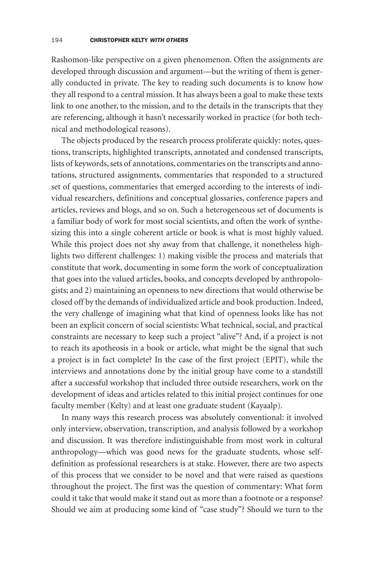Rashomon-like perspective on a given phenomenon. Often the assignments are developed through discussion and argument—but the writing of them is generally conducted in private. The key to reading such documents is to know how they all respond to a central mission. It has always been a goal to make these texts link to one another, to the mission, and to the details in the transcripts that they are referencing, although it hasn't necessarily worked in practice (for both technical and methodological reasons).

The objects produced by the research process proliferate quickly: notes, questions, transcripts, highlighted transcripts, annotated and condensed transcripts, lists of keywords, sets of annotations, commentaries on the transcripts and annotations, structured assignments, commentaries that responded to a structured set of questions, commentaries that emerged according to the interests of individual researchers, definitions and conceptual glossaries, conference papers and articles, reviews and blogs, and so on. Such a heterogeneous set of documents is a familiar body of work for most social scientists, and often the work of synthesizing this into a single coherent article or book is what is most highly valued. While this project does not shy away from that challenge, it nonetheless highlights two different challenges: 1) making visible the process and materials that constitute that work, documenting in some form the work of conceptualization that goes into the valued articles, books, and concepts developed by anthropologists; and 2) maintaining an openness to new directions that would otherwise be closed off by the demands of individualized article and book production. Indeed, the very challenge of imagining what that kind of openness looks like has not been an explicit concern of social scientists: What technical, social, and practical constraints are necessary to keep such a project "alive"? And, if a project is not to reach its apotheosis in a book or article, what might be the signal that such a project is in fact complete? In the case of the first project (EPIT), while the interviews and annotations done by the initial group have come to a standstill after a successful workshop that included three outside researchers, work on the development of ideas and articles related to this initial project continues for one faculty member (Kelty) and at least one graduate student (Kayaalp).

In many ways this research process was absolutely conventional: it involved only interview, observation, transcription, and analysis followed by a workshop and discussion. It was therefore indistinguishable from most work in cultural anthropology—which was good news for the graduate students, whose selfdefinition as professional researchers is at stake. However, there are two aspects of this process that we consider to be novel and that were raised as questions throughout the project. The first was the question of commentary: What form could it take that would make it stand out as more than a footnote or a response? Should we aim at producing some kind of "case study"? Should we turn to the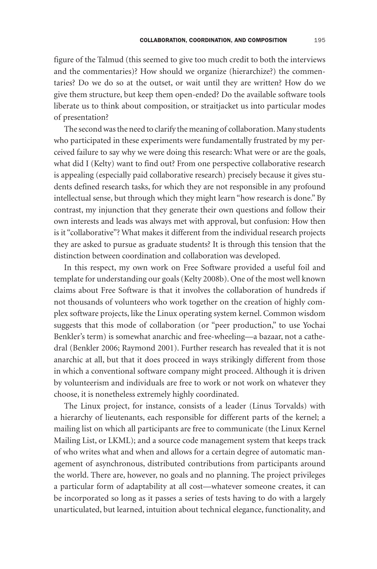figure of the Talmud (this seemed to give too much credit to both the interviews and the commentaries)? How should we organize (hierarchize?) the commentaries? Do we do so at the outset, or wait until they are written? How do we give them structure, but keep them open-ended? Do the available software tools liberate us to think about composition, or straitjacket us into particular modes of presentation?

The second was the need to clarify the meaning of collaboration. Many students who participated in these experiments were fundamentally frustrated by my perceived failure to say why we were doing this research: What were or are the goals, what did I (Kelty) want to find out? From one perspective collaborative research is appealing (especially paid collaborative research) precisely because it gives students defined research tasks, for which they are not responsible in any profound intellectual sense, but through which they might learn "how research is done." By contrast, my injunction that they generate their own questions and follow their own interests and leads was always met with approval, but confusion: How then is it "collaborative"? What makes it different from the individual research projects they are asked to pursue as graduate students? It is through this tension that the distinction between coordination and collaboration was developed.

In this respect, my own work on Free Software provided a useful foil and template for understanding our goals (Kelty 2008b). One of the most well known claims about Free Software is that it involves the collaboration of hundreds if not thousands of volunteers who work together on the creation of highly complex software projects, like the Linux operating system kernel. Common wisdom suggests that this mode of collaboration (or "peer production," to use Yochai Benkler's term) is somewhat anarchic and free-wheeling—a bazaar, not a cathedral (Benkler 2006; Raymond 2001). Further research has revealed that it is not anarchic at all, but that it does proceed in ways strikingly different from those in which a conventional software company might proceed. Although it is driven by volunteerism and individuals are free to work or not work on whatever they choose, it is nonetheless extremely highly coordinated.

The Linux project, for instance, consists of a leader (Linus Torvalds) with a hierarchy of lieutenants, each responsible for different parts of the kernel; a mailing list on which all participants are free to communicate (the Linux Kernel Mailing List, or LKML); and a source code management system that keeps track of who writes what and when and allows for a certain degree of automatic management of asynchronous, distributed contributions from participants around the world. There are, however, no goals and no planning. The project privileges a particular form of adaptability at all cost—whatever someone creates, it can be incorporated so long as it passes a series of tests having to do with a largely unarticulated, but learned, intuition about technical elegance, functionality, and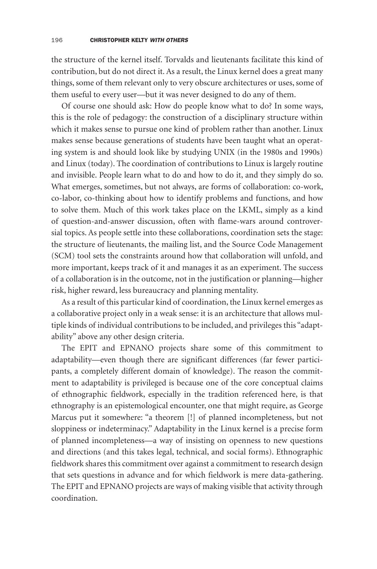the structure of the kernel itself. Torvalds and lieutenants facilitate this kind of contribution, but do not direct it. As a result, the Linux kernel does a great many things, some of them relevant only to very obscure architectures or uses, some of them useful to every user—but it was never designed to do any of them.

Of course one should ask: How do people know what to do? In some ways, this is the role of pedagogy: the construction of a disciplinary structure within which it makes sense to pursue one kind of problem rather than another. Linux makes sense because generations of students have been taught what an operating system is and should look like by studying UNIX (in the 1980s and 1990s) and Linux (today). The coordination of contributions to Linux is largely routine and invisible. People learn what to do and how to do it, and they simply do so. What emerges, sometimes, but not always, are forms of collaboration: co-work, co-labor, co-thinking about how to identify problems and functions, and how to solve them. Much of this work takes place on the LKML, simply as a kind of question-and-answer discussion, often with flame-wars around controversial topics. As people settle into these collaborations, coordination sets the stage: the structure of lieutenants, the mailing list, and the Source Code Management (SCM) tool sets the constraints around how that collaboration will unfold, and more important, keeps track of it and manages it as an experiment. The success of a collaboration is in the outcome, not in the justification or planning—higher risk, higher reward, less bureaucracy and planning mentality.

As a result of this particular kind of coordination, the Linux kernel emerges as a collaborative project only in a weak sense: it is an architecture that allows multiple kinds of individual contributions to be included, and privileges this "adaptability" above any other design criteria.

The EPIT and EPNANO projects share some of this commitment to adaptability—even though there are significant differences (far fewer participants, a completely different domain of knowledge). The reason the commitment to adaptability is privileged is because one of the core conceptual claims of ethnographic fieldwork, especially in the tradition referenced here, is that ethnography is an epistemological encounter, one that might require, as George Marcus put it somewhere: "a theorem [!] of planned incompleteness, but not sloppiness or indeterminacy." Adaptability in the Linux kernel is a precise form of planned incompleteness—a way of insisting on openness to new questions and directions (and this takes legal, technical, and social forms). Ethnographic fieldwork shares this commitment over against a commitment to research design that sets questions in advance and for which fieldwork is mere data-gathering. The EPIT and EPNANO projects are ways of making visible that activity through coordination.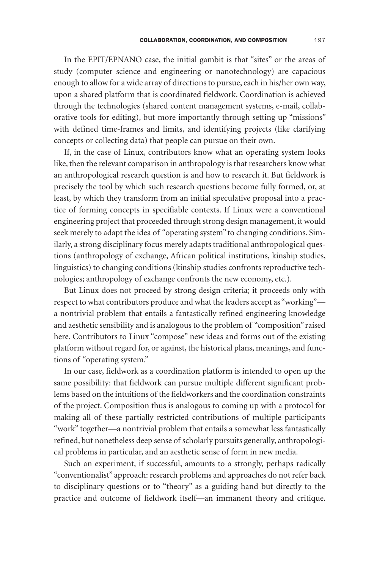In the EPIT/EPNANO case, the initial gambit is that "sites" or the areas of study (computer science and engineering or nanotechnology) are capacious enough to allow for a wide array of directions to pursue, each in his/her own way, upon a shared platform that is coordinated fieldwork. Coordination is achieved through the technologies (shared content management systems, e-mail, collaborative tools for editing), but more importantly through setting up "missions" with defined time-frames and limits, and identifying projects (like clarifying concepts or collecting data) that people can pursue on their own.

If, in the case of Linux, contributors know what an operating system looks like, then the relevant comparison in anthropology is that researchers know what an anthropological research question is and how to research it. But fieldwork is precisely the tool by which such research questions become fully formed, or, at least, by which they transform from an initial speculative proposal into a practice of forming concepts in specifiable contexts. If Linux were a conventional engineering project that proceeded through strong design management, it would seek merely to adapt the idea of "operating system" to changing conditions. Similarly, a strong disciplinary focus merely adapts traditional anthropological questions (anthropology of exchange, African political institutions, kinship studies, linguistics) to changing conditions (kinship studies confronts reproductive technologies; anthropology of exchange confronts the new economy, etc.).

But Linux does not proceed by strong design criteria; it proceeds only with respect to what contributors produce and what the leaders accept as "working" a nontrivial problem that entails a fantastically refined engineering knowledge and aesthetic sensibility and is analogous to the problem of "composition" raised here. Contributors to Linux "compose" new ideas and forms out of the existing platform without regard for, or against, the historical plans, meanings, and functions of "operating system."

In our case, fieldwork as a coordination platform is intended to open up the same possibility: that fieldwork can pursue multiple different significant problems based on the intuitions of the fieldworkers and the coordination constraints of the project. Composition thus is analogous to coming up with a protocol for making all of these partially restricted contributions of multiple participants "work" together—a nontrivial problem that entails a somewhat less fantastically refined, but nonetheless deep sense of scholarly pursuits generally, anthropological problems in particular, and an aesthetic sense of form in new media.

Such an experiment, if successful, amounts to a strongly, perhaps radically "conventionalist" approach: research problems and approaches do not refer back to disciplinary questions or to "theory" as a guiding hand but directly to the practice and outcome of fieldwork itself—an immanent theory and critique.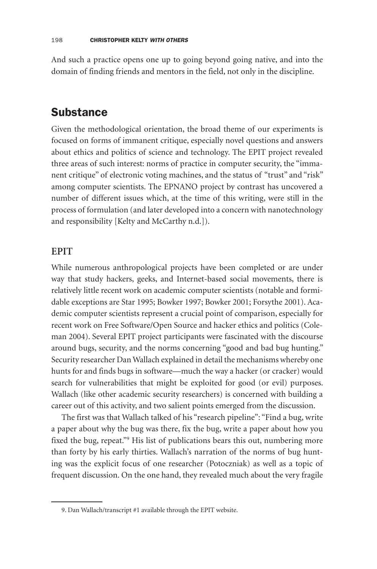And such a practice opens one up to going beyond going native, and into the domain of finding friends and mentors in the field, not only in the discipline.

## Substance

Given the methodological orientation, the broad theme of our experiments is focused on forms of immanent critique, especially novel questions and answers about ethics and politics of science and technology. The EPIT project revealed three areas of such interest: norms of practice in computer security, the "immanent critique" of electronic voting machines, and the status of "trust" and "risk" among computer scientists. The EPNANO project by contrast has uncovered a number of different issues which, at the time of this writing, were still in the process of formulation (and later developed into a concern with nanotechnology and responsibility [Kelty and McCarthy n.d.]).

### **EPIT**

While numerous anthropological projects have been completed or are under way that study hackers, geeks, and Internet-based social movements, there is relatively little recent work on academic computer scientists (notable and formidable exceptions are Star 1995; Bowker 1997; Bowker 2001; Forsythe 2001). Academic computer scientists represent a crucial point of comparison, especially for recent work on Free Software/Open Source and hacker ethics and politics (Coleman 2004). Several EPIT project participants were fascinated with the discourse around bugs, security, and the norms concerning "good and bad bug hunting." Security researcher Dan Wallach explained in detail the mechanisms whereby one hunts for and finds bugs in software—much the way a hacker (or cracker) would search for vulnerabilities that might be exploited for good (or evil) purposes. Wallach (like other academic security researchers) is concerned with building a career out of this activity, and two salient points emerged from the discussion.

The first was that Wallach talked of his "research pipeline": "Find a bug, write a paper about why the bug was there, fix the bug, write a paper about how you fixed the bug, repeat."<sup>9</sup> His list of publications bears this out, numbering more than forty by his early thirties. Wallach's narration of the norms of bug hunting was the explicit focus of one researcher (Potoczniak) as well as a topic of frequent discussion. On the one hand, they revealed much about the very fragile

<sup>9.</sup> Dan Wallach/transcript #1 available through the EPIT website.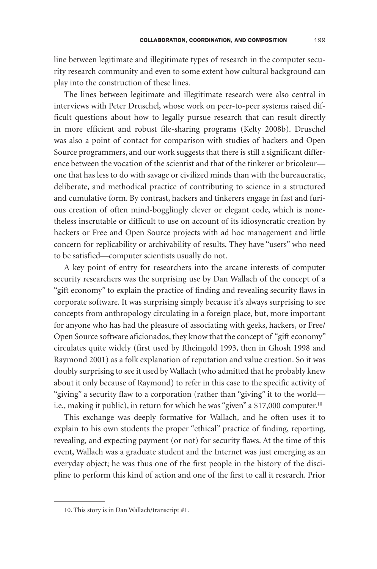line between legitimate and illegitimate types of research in the computer security research community and even to some extent how cultural background can play into the construction of these lines.

The lines between legitimate and illegitimate research were also central in interviews with Peter Druschel, whose work on peer-to-peer systems raised difficult questions about how to legally pursue research that can result directly in more efficient and robust file-sharing programs (Kelty 2008b). Druschel was also a point of contact for comparison with studies of hackers and Open Source programmers, and our work suggests that there is still a significant difference between the vocation of the scientist and that of the tinkerer or bricoleur one that has less to do with savage or civilized minds than with the bureaucratic, deliberate, and methodical practice of contributing to science in a structured and cumulative form. By contrast, hackers and tinkerers engage in fast and furious creation of often mind-bogglingly clever or elegant code, which is nonetheless inscrutable or difficult to use on account of its idiosyncratic creation by hackers or Free and Open Source projects with ad hoc management and little concern for replicability or archivability of results. They have "users" who need to be satisfied—computer scientists usually do not.

A key point of entry for researchers into the arcane interests of computer security researchers was the surprising use by Dan Wallach of the concept of a "gift economy" to explain the practice of finding and revealing security flaws in corporate software. It was surprising simply because it's always surprising to see concepts from anthropology circulating in a foreign place, but, more important for anyone who has had the pleasure of associating with geeks, hackers, or Free/ Open Source software aficionados, they know that the concept of "gift economy" circulates quite widely (first used by Rheingold 1993, then in Ghosh 1998 and Raymond 2001) as a folk explanation of reputation and value creation. So it was doubly surprising to see it used by Wallach (who admitted that he probably knew about it only because of Raymond) to refer in this case to the specific activity of "giving" a security flaw to a corporation (rather than "giving" it to the world i.e., making it public), in return for which he was "given" a \$17,000 computer.<sup>10</sup>

This exchange was deeply formative for Wallach, and he often uses it to explain to his own students the proper "ethical" practice of finding, reporting, revealing, and expecting payment (or not) for security flaws. At the time of this event, Wallach was a graduate student and the Internet was just emerging as an everyday object; he was thus one of the first people in the history of the discipline to perform this kind of action and one of the first to call it research. Prior

<sup>10.</sup> This story is in Dan Wallach/transcript #1.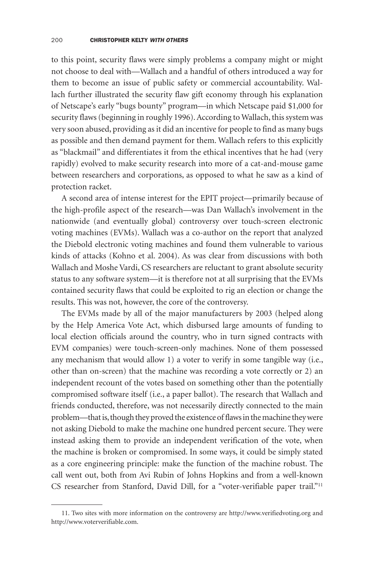to this point, security flaws were simply problems a company might or might not choose to deal with—Wallach and a handful of others introduced a way for them to become an issue of public safety or commercial accountability. Wallach further illustrated the security flaw gift economy through his explanation of Netscape's early "bugs bounty" program—in which Netscape paid \$1,000 for security flaws (beginning in roughly 1996). According to Wallach, this system was very soon abused, providing as it did an incentive for people to find as many bugs as possible and then demand payment for them. Wallach refers to this explicitly as "blackmail" and differentiates it from the ethical incentives that he had (very rapidly) evolved to make security research into more of a cat-and-mouse game between researchers and corporations, as opposed to what he saw as a kind of protection racket.

A second area of intense interest for the EPIT project—primarily because of the high-profile aspect of the research—was Dan Wallach's involvement in the nationwide (and eventually global) controversy over touch-screen electronic voting machines (EVMs). Wallach was a co-author on the report that analyzed the Diebold electronic voting machines and found them vulnerable to various kinds of attacks (Kohno et al. 2004). As was clear from discussions with both Wallach and Moshe Vardi, CS researchers are reluctant to grant absolute security status to any software system—it is therefore not at all surprising that the EVMs contained security flaws that could be exploited to rig an election or change the results. This was not, however, the core of the controversy.

The EVMs made by all of the major manufacturers by 2003 (helped along by the Help America Vote Act, which disbursed large amounts of funding to local election officials around the country, who in turn signed contracts with EVM companies) were touch-screen-only machines. None of them possessed any mechanism that would allow 1) a voter to verify in some tangible way (i.e., other than on-screen) that the machine was recording a vote correctly or 2) an independent recount of the votes based on something other than the potentially compromised software itself (i.e., a paper ballot). The research that Wallach and friends conducted, therefore, was not necessarily directly connected to the main problem—that is, though they proved the existence of flaws in the machine they were not asking Diebold to make the machine one hundred percent secure. They were instead asking them to provide an independent verification of the vote, when the machine is broken or compromised. In some ways, it could be simply stated as a core engineering principle: make the function of the machine robust. The call went out, both from Avi Rubin of Johns Hopkins and from a well-known CS researcher from Stanford, David Dill, for a "voter-verifiable paper trail."<sup>11</sup>

<sup>11.</sup> Two sites with more information on the controversy are http://www.verifiedvoting.org and http://www.voterverifiable.com.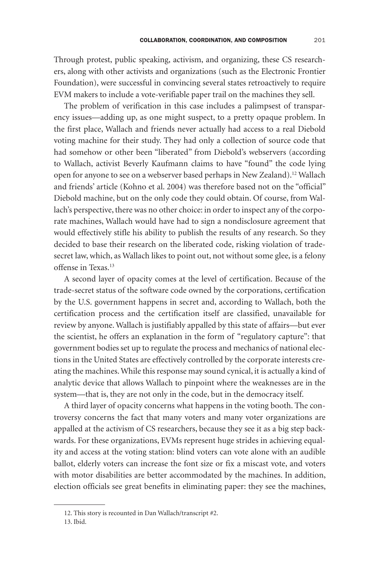Through protest, public speaking, activism, and organizing, these CS researchers, along with other activists and organizations (such as the Electronic Frontier Foundation), were successful in convincing several states retroactively to require EVM makers to include a vote-verifiable paper trail on the machines they sell.

The problem of verification in this case includes a palimpsest of transparency issues—adding up, as one might suspect, to a pretty opaque problem. In the first place, Wallach and friends never actually had access to a real Diebold voting machine for their study. They had only a collection of source code that had somehow or other been "liberated" from Diebold's webservers (according to Wallach, activist Beverly Kaufmann claims to have "found" the code lying open for anyone to see on a webserver based perhaps in New Zealand).<sup>12</sup> Wallach and friends' article (Kohno et al. 2004) was therefore based not on the "official" Diebold machine, but on the only code they could obtain. Of course, from Wallach's perspective, there was no other choice: in order to inspect any of the corporate machines, Wallach would have had to sign a nondisclosure agreement that would effectively stifle his ability to publish the results of any research. So they decided to base their research on the liberated code, risking violation of tradesecret law, which, as Wallach likes to point out, not without some glee, is a felony offense in Texas.13

A second layer of opacity comes at the level of certification. Because of the trade-secret status of the software code owned by the corporations, certification by the U.S. government happens in secret and, according to Wallach, both the certification process and the certification itself are classified, unavailable for review by anyone. Wallach is justifiably appalled by this state of affairs—but ever the scientist, he offers an explanation in the form of "regulatory capture": that government bodies set up to regulate the process and mechanics of national elections in the United States are effectively controlled by the corporate interests creating the machines. While this response may sound cynical, it is actually a kind of analytic device that allows Wallach to pinpoint where the weaknesses are in the system—that is, they are not only in the code, but in the democracy itself.

A third layer of opacity concerns what happens in the voting booth. The controversy concerns the fact that many voters and many voter organizations are appalled at the activism of CS researchers, because they see it as a big step backwards. For these organizations, EVMs represent huge strides in achieving equality and access at the voting station: blind voters can vote alone with an audible ballot, elderly voters can increase the font size or fix a miscast vote, and voters with motor disabilities are better accommodated by the machines. In addition, election officials see great benefits in eliminating paper: they see the machines,

<sup>12.</sup> This story is recounted in Dan Wallach/transcript #2.

<sup>13.</sup> Ibid.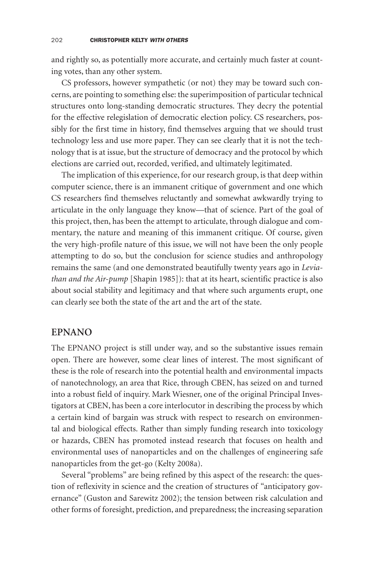and rightly so, as potentially more accurate, and certainly much faster at counting votes, than any other system.

CS professors, however sympathetic (or not) they may be toward such concerns, are pointing to something else: the superimposition of particular technical structures onto long-standing democratic structures. They decry the potential for the effective relegislation of democratic election policy. CS researchers, possibly for the first time in history, find themselves arguing that we should trust technology less and use more paper. They can see clearly that it is not the technology that is at issue, but the structure of democracy and the protocol by which elections are carried out, recorded, verified, and ultimately legitimated.

The implication of this experience, for our research group, is that deep within computer science, there is an immanent critique of government and one which CS researchers find themselves reluctantly and somewhat awkwardly trying to articulate in the only language they know—that of science. Part of the goal of this project, then, has been the attempt to articulate, through dialogue and commentary, the nature and meaning of this immanent critique. Of course, given the very high-profile nature of this issue, we will not have been the only people attempting to do so, but the conclusion for science studies and anthropology remains the same (and one demonstrated beautifully twenty years ago in *Leviathan and the Air-pump* [Shapin 1985]): that at its heart, scientific practice is also about social stability and legitimacy and that where such arguments erupt, one can clearly see both the state of the art and the art of the state.

### **EPNANO**

The EPNANO project is still under way, and so the substantive issues remain open. There are however, some clear lines of interest. The most significant of these is the role of research into the potential health and environmental impacts of nanotechnology, an area that Rice, through CBEN, has seized on and turned into a robust field of inquiry. Mark Wiesner, one of the original Principal Investigators at CBEN, has been a core interlocutor in describing the process by which a certain kind of bargain was struck with respect to research on environmental and biological effects. Rather than simply funding research into toxicology or hazards, CBEN has promoted instead research that focuses on health and environmental uses of nanoparticles and on the challenges of engineering safe nanoparticles from the get-go (Kelty 2008a).

Several "problems" are being refined by this aspect of the research: the question of reflexivity in science and the creation of structures of "anticipatory governance" (Guston and Sarewitz 2002); the tension between risk calculation and other forms of foresight, prediction, and preparedness; the increasing separation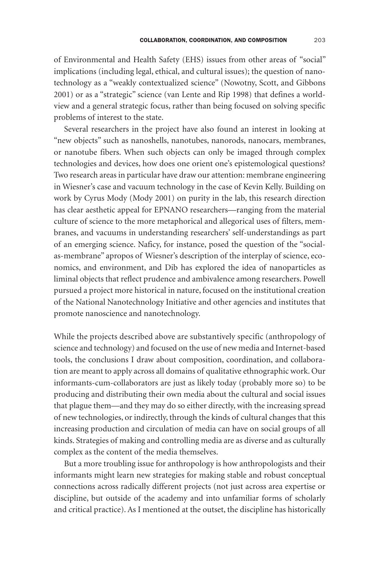of Environmental and Health Safety (EHS) issues from other areas of "social" implications (including legal, ethical, and cultural issues); the question of nanotechnology as a "weakly contextualized science" (Nowotny, Scott, and Gibbons 2001) or as a "strategic" science (van Lente and Rip 1998) that defines a worldview and a general strategic focus, rather than being focused on solving specific problems of interest to the state.

Several researchers in the project have also found an interest in looking at "new objects" such as nanoshells, nanotubes, nanorods, nanocars, membranes, or nanotube fibers. When such objects can only be imaged through complex technologies and devices, how does one orient one's epistemological questions? Two research areas in particular have draw our attention: membrane engineering in Wiesner's case and vacuum technology in the case of Kevin Kelly. Building on work by Cyrus Mody (Mody 2001) on purity in the lab, this research direction has clear aesthetic appeal for EPNANO researchers—ranging from the material culture of science to the more metaphorical and allegorical uses of filters, membranes, and vacuums in understanding researchers' self-understandings as part of an emerging science. Naficy, for instance, posed the question of the "socialas-membrane" apropos of Wiesner's description of the interplay of science, economics, and environment, and Dib has explored the idea of nanoparticles as liminal objects that reflect prudence and ambivalence among researchers. Powell pursued a project more historical in nature, focused on the institutional creation of the National Nanotechnology Initiative and other agencies and institutes that promote nanoscience and nanotechnology.

While the projects described above are substantively specific (anthropology of science and technology) and focused on the use of new media and Internet-based tools, the conclusions I draw about composition, coordination, and collaboration are meant to apply across all domains of qualitative ethnographic work. Our informants-cum-collaborators are just as likely today (probably more so) to be producing and distributing their own media about the cultural and social issues that plague them—and they may do so either directly, with the increasing spread of new technologies, or indirectly, through the kinds of cultural changes that this increasing production and circulation of media can have on social groups of all kinds. Strategies of making and controlling media are as diverse and as culturally complex as the content of the media themselves.

But a more troubling issue for anthropology is how anthropologists and their informants might learn new strategies for making stable and robust conceptual connections across radically different projects (not just across area expertise or discipline, but outside of the academy and into unfamiliar forms of scholarly and critical practice). As I mentioned at the outset, the discipline has historically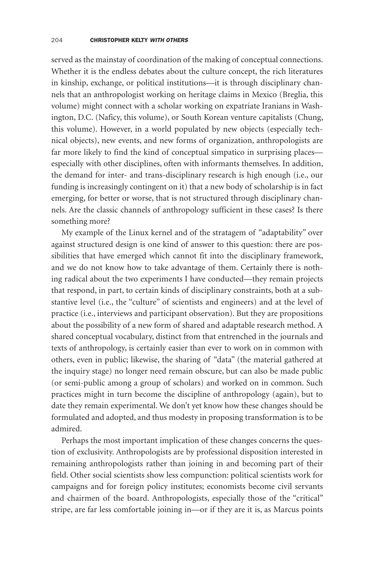served as the mainstay of coordination of the making of conceptual connections. Whether it is the endless debates about the culture concept, the rich literatures in kinship, exchange, or political institutions—it is through disciplinary channels that an anthropologist working on heritage claims in Mexico (Breglia, this volume) might connect with a scholar working on expatriate Iranians in Washington, D.C. (Naficy, this volume), or South Korean venture capitalists (Chung, this volume). However, in a world populated by new objects (especially technical objects), new events, and new forms of organization, anthropologists are far more likely to find the kind of conceptual simpatico in surprising placesespecially with other disciplines, often with informants themselves. In addition, the demand for inter- and trans-disciplinary research is high enough (i.e., our funding is increasingly contingent on it) that a new body of scholarship is in fact emerging, for better or worse, that is not structured through disciplinary channels. Are the classic channels of anthropology sufficient in these cases? Is there something more?

My example of the Linux kernel and of the stratagem of "adaptability" over against structured design is one kind of answer to this question: there are possibilities that have emerged which cannot fit into the disciplinary framework, and we do not know how to take advantage of them. Certainly there is nothing radical about the two experiments I have conducted—they remain projects that respond, in part, to certain kinds of disciplinary constraints, both at a substantive level (i.e., the "culture" of scientists and engineers) and at the level of practice (i.e., interviews and participant observation). But they are propositions about the possibility of a new form of shared and adaptable research method. A shared conceptual vocabulary, distinct from that entrenched in the journals and texts of anthropology, is certainly easier than ever to work on in common with others, even in public; likewise, the sharing of "data" (the material gathered at the inquiry stage) no longer need remain obscure, but can also be made public (or semi-public among a group of scholars) and worked on in common. Such practices might in turn become the discipline of anthropology (again), but to date they remain experimental. We don't yet know how these changes should be formulated and adopted, and thus modesty in proposing transformation is to be admired.

Perhaps the most important implication of these changes concerns the question of exclusivity. Anthropologists are by professional disposition interested in remaining anthropologists rather than joining in and becoming part of their field. Other social scientists show less compunction: political scientists work for campaigns and for foreign policy institutes; economists become civil servants and chairmen of the board. Anthropologists, especially those of the "critical" stripe, are far less comfortable joining in—or if they are it is, as Marcus points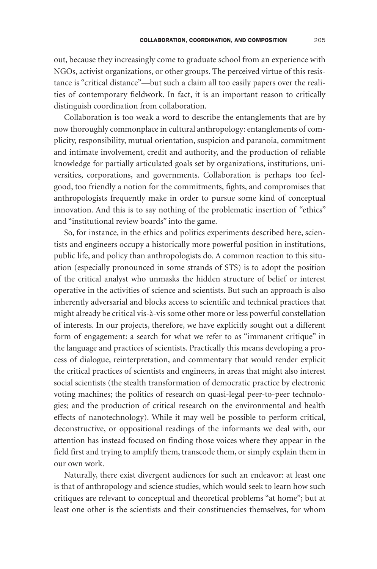out, because they increasingly come to graduate school from an experience with NGOs, activist organizations, or other groups. The perceived virtue of this resistance is "critical distance"—but such a claim all too easily papers over the realities of contemporary fieldwork. In fact, it is an important reason to critically distinguish coordination from collaboration.

Collaboration is too weak a word to describe the entanglements that are by now thoroughly commonplace in cultural anthropology: entanglements of complicity, responsibility, mutual orientation, suspicion and paranoia, commitment and intimate involvement, credit and authority, and the production of reliable knowledge for partially articulated goals set by organizations, institutions, universities, corporations, and governments. Collaboration is perhaps too feelgood, too friendly a notion for the commitments, fights, and compromises that anthropologists frequently make in order to pursue some kind of conceptual innovation. And this is to say nothing of the problematic insertion of "ethics" and "institutional review boards" into the game.

So, for instance, in the ethics and politics experiments described here, scientists and engineers occupy a historically more powerful position in institutions, public life, and policy than anthropologists do. A common reaction to this situation (especially pronounced in some strands of STS) is to adopt the position of the critical analyst who unmasks the hidden structure of belief or interest operative in the activities of science and scientists. But such an approach is also inherently adversarial and blocks access to scientific and technical practices that might already be critical vis-à-vis some other more or less powerful constellation of interests. In our projects, therefore, we have explicitly sought out a different form of engagement: a search for what we refer to as "immanent critique" in the language and practices of scientists. Practically this means developing a process of dialogue, reinterpretation, and commentary that would render explicit the critical practices of scientists and engineers, in areas that might also interest social scientists (the stealth transformation of democratic practice by electronic voting machines; the politics of research on quasi-legal peer-to-peer technologies; and the production of critical research on the environmental and health effects of nanotechnology). While it may well be possible to perform critical, deconstructive, or oppositional readings of the informants we deal with, our attention has instead focused on finding those voices where they appear in the field first and trying to amplify them, transcode them, or simply explain them in our own work.

Naturally, there exist divergent audiences for such an endeavor: at least one is that of anthropology and science studies, which would seek to learn how such critiques are relevant to conceptual and theoretical problems "at home"; but at least one other is the scientists and their constituencies themselves, for whom